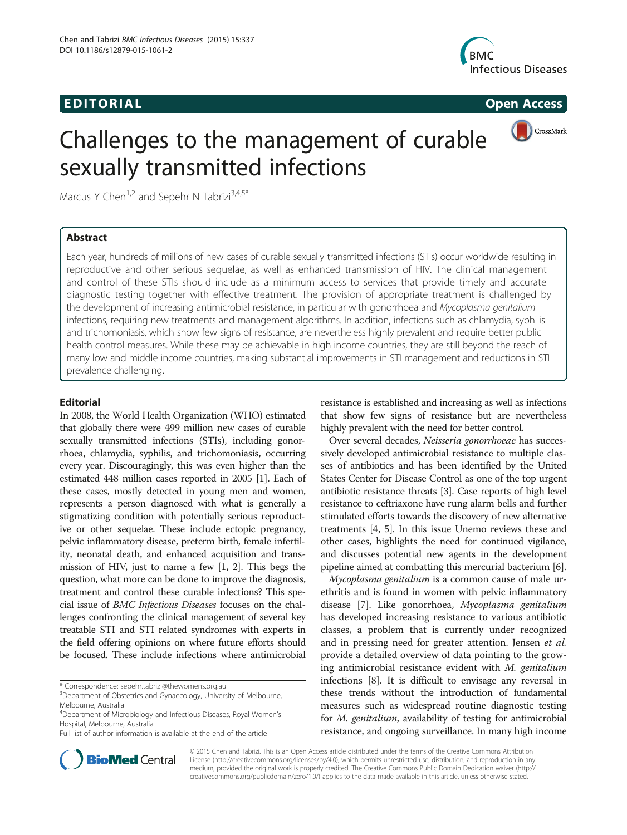# EDI TORIA L Open Access



CrossMark

# Challenges to the management of curable sexually transmitted infections

Marcus Y Chen<sup>1,2</sup> and Sepehr N Tabrizi<sup>3,4,5\*</sup>

# Abstract

Each year, hundreds of millions of new cases of curable sexually transmitted infections (STIs) occur worldwide resulting in reproductive and other serious sequelae, as well as enhanced transmission of HIV. The clinical management and control of these STIs should include as a minimum access to services that provide timely and accurate diagnostic testing together with effective treatment. The provision of appropriate treatment is challenged by the development of increasing antimicrobial resistance, in particular with gonorrhoea and Mycoplasma genitalium infections, requiring new treatments and management algorithms. In addition, infections such as chlamydia, syphilis and trichomoniasis, which show few signs of resistance, are nevertheless highly prevalent and require better public health control measures. While these may be achievable in high income countries, they are still beyond the reach of many low and middle income countries, making substantial improvements in STI management and reductions in STI prevalence challenging.

## Editorial

In 2008, the World Health Organization (WHO) estimated that globally there were 499 million new cases of curable sexually transmitted infections (STIs), including gonorrhoea, chlamydia, syphilis, and trichomoniasis, occurring every year. Discouragingly, this was even higher than the estimated 448 million cases reported in 2005 [\[1](#page-2-0)]. Each of these cases, mostly detected in young men and women, represents a person diagnosed with what is generally a stigmatizing condition with potentially serious reproductive or other sequelae. These include ectopic pregnancy, pelvic inflammatory disease, preterm birth, female infertility, neonatal death, and enhanced acquisition and transmission of HIV, just to name a few [\[1](#page-2-0), [2\]](#page-2-0). This begs the question, what more can be done to improve the diagnosis, treatment and control these curable infections? This special issue of BMC Infectious Diseases focuses on the challenges confronting the clinical management of several key treatable STI and STI related syndromes with experts in the field offering opinions on where future efforts should be focused. These include infections where antimicrobial

\* Correspondence: [sepehr.tabrizi@thewomens.org.au](mailto:sepehr.tabrizi@thewomens.org.au) <sup>3</sup>

resistance is established and increasing as well as infections that show few signs of resistance but are nevertheless highly prevalent with the need for better control.

Over several decades, Neisseria gonorrhoeae has successively developed antimicrobial resistance to multiple classes of antibiotics and has been identified by the United States Center for Disease Control as one of the top urgent antibiotic resistance threats [\[3](#page-2-0)]. Case reports of high level resistance to ceftriaxone have rung alarm bells and further stimulated efforts towards the discovery of new alternative treatments [[4](#page-2-0), [5](#page-2-0)]. In this issue Unemo reviews these and other cases, highlights the need for continued vigilance, and discusses potential new agents in the development pipeline aimed at combatting this mercurial bacterium [\[6](#page-2-0)].

Mycoplasma genitalium is a common cause of male urethritis and is found in women with pelvic inflammatory disease [[7](#page-2-0)]. Like gonorrhoea, Mycoplasma genitalium has developed increasing resistance to various antibiotic classes, a problem that is currently under recognized and in pressing need for greater attention. Jensen et al. provide a detailed overview of data pointing to the growing antimicrobial resistance evident with M. genitalium infections [[8\]](#page-2-0). It is difficult to envisage any reversal in these trends without the introduction of fundamental measures such as widespread routine diagnostic testing for M. genitalium, availability of testing for antimicrobial resistance, and ongoing surveillance. In many high income



© 2015 Chen and Tabrizi. This is an Open Access article distributed under the terms of the Creative Commons Attribution License (<http://creativecommons.org/licenses/by/4.0>), which permits unrestricted use, distribution, and reproduction in any medium, provided the original work is properly credited. The Creative Commons Public Domain Dedication waiver [\(http://](http://creativecommons.org/publicdomain/zero/1.0/) [creativecommons.org/publicdomain/zero/1.0/\)](http://creativecommons.org/publicdomain/zero/1.0/) applies to the data made available in this article, unless otherwise stated.

<sup>&</sup>lt;sup>3</sup> Department of Obstetrics and Gynaecology, University of Melbourne, Melbourne, Australia

<sup>4</sup> Department of Microbiology and Infectious Diseases, Royal Women's Hospital, Melbourne, Australia

Full list of author information is available at the end of the article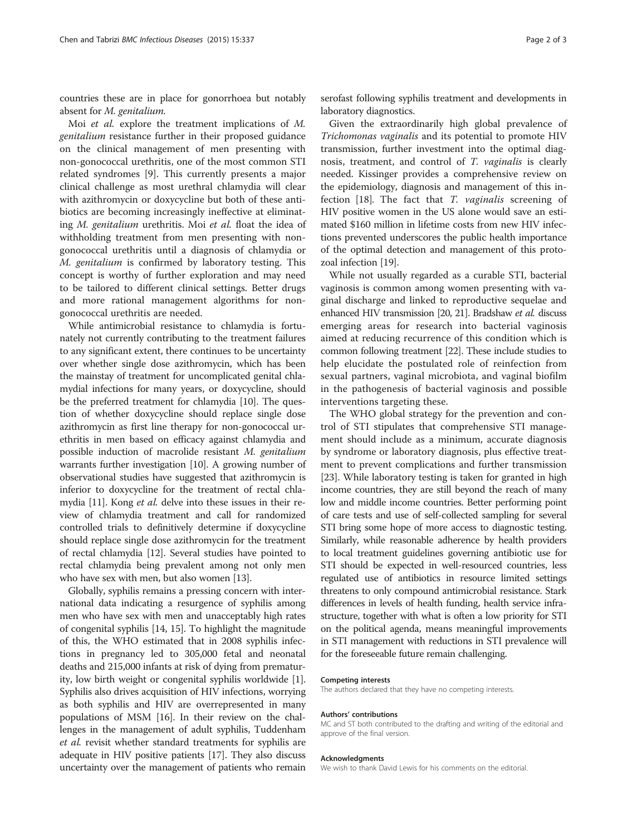countries these are in place for gonorrhoea but notably absent for M. genitalium.

Moi et al. explore the treatment implications of M. genitalium resistance further in their proposed guidance on the clinical management of men presenting with non-gonococcal urethritis, one of the most common STI related syndromes [[9\]](#page-2-0). This currently presents a major clinical challenge as most urethral chlamydia will clear with azithromycin or doxycycline but both of these antibiotics are becoming increasingly ineffective at eliminating M. genitalium urethritis. Moi et al. float the idea of withholding treatment from men presenting with nongonococcal urethritis until a diagnosis of chlamydia or M. genitalium is confirmed by laboratory testing. This concept is worthy of further exploration and may need to be tailored to different clinical settings. Better drugs and more rational management algorithms for nongonococcal urethritis are needed.

While antimicrobial resistance to chlamydia is fortunately not currently contributing to the treatment failures to any significant extent, there continues to be uncertainty over whether single dose azithromycin, which has been the mainstay of treatment for uncomplicated genital chlamydial infections for many years, or doxycycline, should be the preferred treatment for chlamydia [[10](#page-2-0)]. The question of whether doxycycline should replace single dose azithromycin as first line therapy for non-gonococcal urethritis in men based on efficacy against chlamydia and possible induction of macrolide resistant M. genitalium warrants further investigation [\[10\]](#page-2-0). A growing number of observational studies have suggested that azithromycin is inferior to doxycycline for the treatment of rectal chla-mydia [\[11\]](#page-2-0). Kong *et al.* delve into these issues in their review of chlamydia treatment and call for randomized controlled trials to definitively determine if doxycycline should replace single dose azithromycin for the treatment of rectal chlamydia [[12](#page-2-0)]. Several studies have pointed to rectal chlamydia being prevalent among not only men who have sex with men, but also women [\[13](#page-2-0)].

Globally, syphilis remains a pressing concern with international data indicating a resurgence of syphilis among men who have sex with men and unacceptably high rates of congenital syphilis [\[14, 15](#page-2-0)]. To highlight the magnitude of this, the WHO estimated that in 2008 syphilis infections in pregnancy led to 305,000 fetal and neonatal deaths and 215,000 infants at risk of dying from prematurity, low birth weight or congenital syphilis worldwide [[1](#page-2-0)]. Syphilis also drives acquisition of HIV infections, worrying as both syphilis and HIV are overrepresented in many populations of MSM [\[16](#page-2-0)]. In their review on the challenges in the management of adult syphilis, Tuddenham et al. revisit whether standard treatments for syphilis are adequate in HIV positive patients [[17\]](#page-2-0). They also discuss uncertainty over the management of patients who remain

serofast following syphilis treatment and developments in laboratory diagnostics.

Given the extraordinarily high global prevalence of Trichomonas vaginalis and its potential to promote HIV transmission, further investment into the optimal diagnosis, treatment, and control of T. vaginalis is clearly needed. Kissinger provides a comprehensive review on the epidemiology, diagnosis and management of this in-fection [[18\]](#page-2-0). The fact that T. vaginalis screening of HIV positive women in the US alone would save an estimated \$160 million in lifetime costs from new HIV infections prevented underscores the public health importance of the optimal detection and management of this protozoal infection [\[19\]](#page-2-0).

While not usually regarded as a curable STI, bacterial vaginosis is common among women presenting with vaginal discharge and linked to reproductive sequelae and enhanced HIV transmission [\[20, 21\]](#page-2-0). Bradshaw et al. discuss emerging areas for research into bacterial vaginosis aimed at reducing recurrence of this condition which is common following treatment [\[22](#page-2-0)]. These include studies to help elucidate the postulated role of reinfection from sexual partners, vaginal microbiota, and vaginal biofilm in the pathogenesis of bacterial vaginosis and possible interventions targeting these.

The WHO global strategy for the prevention and control of STI stipulates that comprehensive STI management should include as a minimum, accurate diagnosis by syndrome or laboratory diagnosis, plus effective treatment to prevent complications and further transmission [[23\]](#page-2-0). While laboratory testing is taken for granted in high income countries, they are still beyond the reach of many low and middle income countries. Better performing point of care tests and use of self-collected sampling for several STI bring some hope of more access to diagnostic testing. Similarly, while reasonable adherence by health providers to local treatment guidelines governing antibiotic use for STI should be expected in well-resourced countries, less regulated use of antibiotics in resource limited settings threatens to only compound antimicrobial resistance. Stark differences in levels of health funding, health service infrastructure, together with what is often a low priority for STI on the political agenda, means meaningful improvements in STI management with reductions in STI prevalence will for the foreseeable future remain challenging.

#### Competing interests

The authors declared that they have no competing interests.

#### Authors' contributions

MC and ST both contributed to the drafting and writing of the editorial and approve of the final version.

#### Acknowledgments

We wish to thank David Lewis for his comments on the editorial.